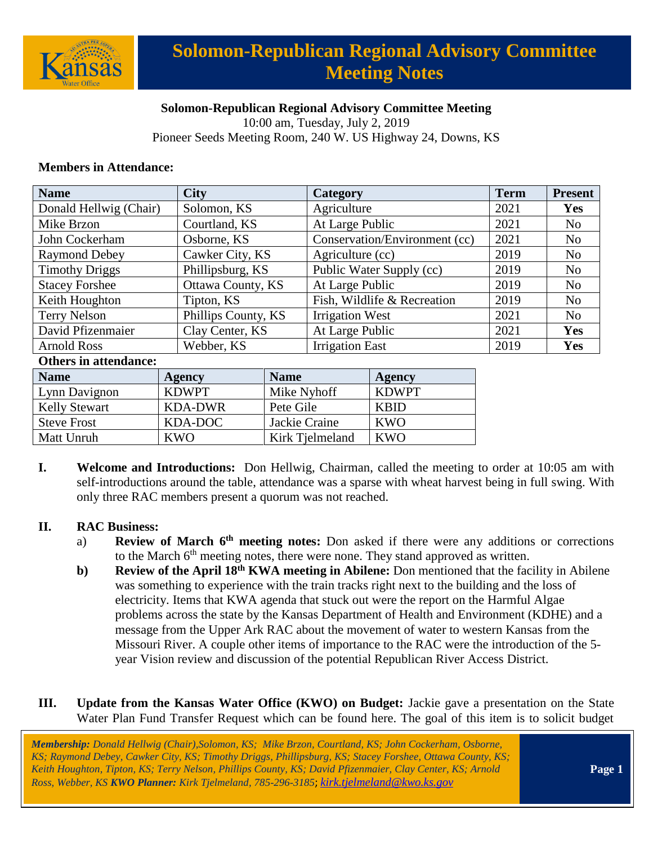

# **Solomon-Republican Regional Advisory Committee Meeting Notes**

### **Solomon-Republican Regional Advisory Committee Meeting**

10:00 am, Tuesday, July 2, 2019 Pioneer Seeds Meeting Room, 240 W. US Highway 24, Downs, KS

#### **Members in Attendance:**

| <b>Name</b>            | <b>City</b>         | Category                      | <b>Term</b> | <b>Present</b> |
|------------------------|---------------------|-------------------------------|-------------|----------------|
| Donald Hellwig (Chair) | Solomon, KS         | Agriculture                   | 2021        | <b>Yes</b>     |
| Mike Brzon             | Courtland, KS       | At Large Public               | 2021        | N <sub>o</sub> |
| John Cockerham         | Osborne, KS         | Conservation/Environment (cc) | 2021        | N <sub>o</sub> |
| <b>Raymond Debey</b>   | Cawker City, KS     | Agriculture (cc)              | 2019        | N <sub>o</sub> |
| <b>Timothy Driggs</b>  | Phillipsburg, KS    | Public Water Supply (cc)      | 2019        | N <sub>o</sub> |
| <b>Stacey Forshee</b>  | Ottawa County, KS   | At Large Public               | 2019        | N <sub>o</sub> |
| Keith Houghton         | Tipton, KS          | Fish, Wildlife & Recreation   | 2019        | N <sub>o</sub> |
| <b>Terry Nelson</b>    | Phillips County, KS | <b>Irrigation West</b>        | 2021        | N <sub>o</sub> |
| David Pfizenmaier      | Clay Center, KS     | At Large Public               | 2021        | <b>Yes</b>     |
| <b>Arnold Ross</b>     | Webber, KS          | <b>Irrigation East</b>        | 2019        | Yes            |

#### **Others in attendance:**

| <b>Name</b>          | Agency       | <b>Name</b>     | Agency       |
|----------------------|--------------|-----------------|--------------|
| Lynn Davignon        | <b>KDWPT</b> | Mike Nyhoff     | <b>KDWPT</b> |
| <b>Kelly Stewart</b> | KDA-DWR      | Pete Gile       | <b>KBID</b>  |
| <b>Steve Frost</b>   | KDA-DOC      | Jackie Craine   | <b>KWO</b>   |
| Matt Unruh           | KWO          | Kirk Tielmeland | <b>KWO</b>   |

**I. Welcome and Introductions:** Don Hellwig, Chairman, called the meeting to order at 10:05 am with self-introductions around the table, attendance was a sparse with wheat harvest being in full swing. With only three RAC members present a quorum was not reached.

#### **II. RAC Business:**

- a) **Review of March 6th meeting notes:** Don asked if there were any additions or corrections to the March 6<sup>th</sup> meeting notes, there were none. They stand approved as written.
- **b) Review of the April 18th KWA meeting in Abilene:** Don mentioned that the facility in Abilene was something to experience with the train tracks right next to the building and the loss of electricity. Items that KWA agenda that stuck out were the report on the Harmful Algae problems across the state by the Kansas Department of Health and Environment (KDHE) and a message from the Upper Ark RAC about the movement of water to western Kansas from the Missouri River. A couple other items of importance to the RAC were the introduction of the 5 year Vision review and discussion of the potential Republican River Access District.

### **III. Update from the Kansas Water Office (KWO) on Budget:** Jackie gave a presentation on the State Water Plan Fund Transfer Request which can be found here. The goal of this item is to solicit budget

*Membership: Donald Hellwig (Chair),Solomon, KS; Mike Brzon, Courtland, KS; John Cockerham, Osborne, KS; Raymond Debey, Cawker City, KS; Timothy Driggs, Phillipsburg, KS; Stacey Forshee, Ottawa County, KS; Keith Houghton, Tipton, KS; Terry Nelson, Phillips County, KS; David Pfizenmaier, Clay Center, KS; Arnold Ross, Webber, KS KWO Planner: Kirk Tjelmeland, 785-296-3185*; *[kirk.tjelmeland@kwo.ks.gov](mailto:kirk.tjelmeland@kwo.ks.gov)*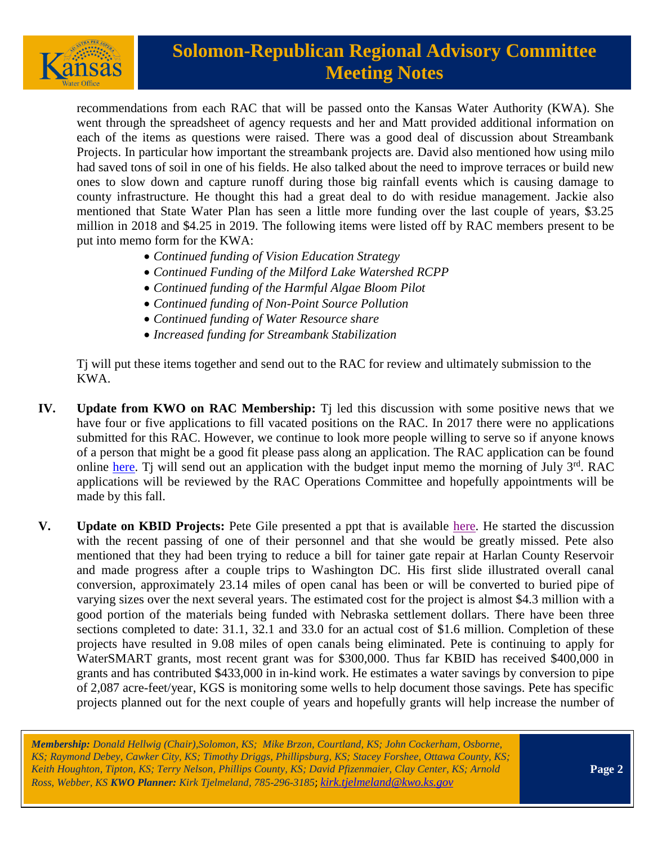

## **Solomon-Republican Regional Advisory Committee Meeting Notes**

recommendations from each RAC that will be passed onto the Kansas Water Authority (KWA). She went through the spreadsheet of agency requests and her and Matt provided additional information on each of the items as questions were raised. There was a good deal of discussion about Streambank Projects. In particular how important the streambank projects are. David also mentioned how using milo had saved tons of soil in one of his fields. He also talked about the need to improve terraces or build new ones to slow down and capture runoff during those big rainfall events which is causing damage to county infrastructure. He thought this had a great deal to do with residue management. Jackie also mentioned that State Water Plan has seen a little more funding over the last couple of years, \$3.25 million in 2018 and \$4.25 in 2019. The following items were listed off by RAC members present to be put into memo form for the KWA:

- *Continued funding of Vision Education Strategy*
- *Continued Funding of the Milford Lake Watershed RCPP*
- *Continued funding of the Harmful Algae Bloom Pilot*
- *Continued funding of Non-Point Source Pollution*
- *Continued funding of Water Resource share*
- *Increased funding for Streambank Stabilization*

 Tj will put these items together and send out to the RAC for review and ultimately submission to the KWA.

- **IV. Update from KWO on RAC Membership:** Tj led this discussion with some positive news that we have four or five applications to fill vacated positions on the RAC. In 2017 there were no applications submitted for this RAC. However, we continue to look more people willing to serve so if anyone knows of a person that might be a good fit please pass along an application. The RAC application can be found online [here.](https://www.kwo.ks.gov/about-the-kwo/regional-advisory-committees) Ti will send out an application with the budget input memo the morning of July  $3<sup>rd</sup>$ . RAC applications will be reviewed by the RAC Operations Committee and hopefully appointments will be made by this fall.
- **V. Update on KBID Projects:** Pete Gile presented a ppt that is available [here.](https://kwo.ks.gov/docs/default-source/regional-advisory-committees/solomon-republican-rac/solomon-republican-rac-presentations/kbid-july-2019-sr-rac-meeting---pipeline-projects-update.pdf?sfvrsn=69a28514_0) He started the discussion with the recent passing of one of their personnel and that she would be greatly missed. Pete also mentioned that they had been trying to reduce a bill for tainer gate repair at Harlan County Reservoir and made progress after a couple trips to Washington DC. His first slide illustrated overall canal conversion, approximately 23.14 miles of open canal has been or will be converted to buried pipe of varying sizes over the next several years. The estimated cost for the project is almost \$4.3 million with a good portion of the materials being funded with Nebraska settlement dollars. There have been three sections completed to date: 31.1, 32.1 and 33.0 for an actual cost of \$1.6 million. Completion of these projects have resulted in 9.08 miles of open canals being eliminated. Pete is continuing to apply for WaterSMART grants, most recent grant was for \$300,000. Thus far KBID has received \$400,000 in grants and has contributed \$433,000 in in-kind work. He estimates a water savings by conversion to pipe of 2,087 acre-feet/year, KGS is monitoring some wells to help document those savings. Pete has specific projects planned out for the next couple of years and hopefully grants will help increase the number of

*Membership: Donald Hellwig (Chair),Solomon, KS; Mike Brzon, Courtland, KS; John Cockerham, Osborne, KS; Raymond Debey, Cawker City, KS; Timothy Driggs, Phillipsburg, KS; Stacey Forshee, Ottawa County, KS; Keith Houghton, Tipton, KS; Terry Nelson, Phillips County, KS; David Pfizenmaier, Clay Center, KS; Arnold Ross, Webber, KS KWO Planner: Kirk Tjelmeland, 785-296-3185*; *[kirk.tjelmeland@kwo.ks.gov](mailto:kirk.tjelmeland@kwo.ks.gov)*